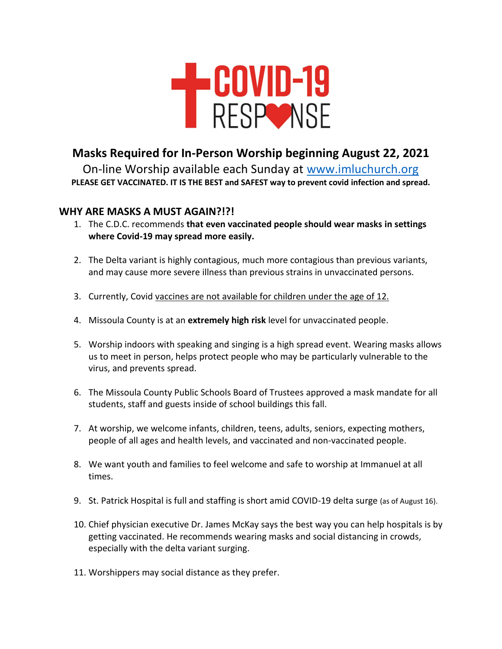

## **Masks Required for In-Person Worship beginning August 22, 2021**

On-line Worship available each Sunday at [www.imluchurch.org](http://www.imluchurch.org/) **PLEASE GET VACCINATED. IT IS THE BEST and SAFEST way to prevent covid infection and spread.** 

## **WHY ARE MASKS A MUST AGAIN?!?!**

- 1. The C.D.C. recommends **that even vaccinated people should wear masks in settings where Covid-19 may spread more easily.**
- 2. The Delta variant is highly contagious, much more contagious than previous variants, and may cause more severe illness than previous strains in unvaccinated persons.
- 3. Currently, Covid vaccines are not available for children under the age of 12.
- 4. Missoula County is at an **extremely high risk** level for unvaccinated people.
- 5. Worship indoors with speaking and singing is a high spread event. Wearing masks allows us to meet in person, helps protect people who may be particularly vulnerable to the virus, and prevents spread.
- 6. The Missoula County Public Schools Board of Trustees approved a mask mandate for all students, staff and guests inside of school buildings this fall.
- 7. At worship, we welcome infants, children, teens, adults, seniors, expecting mothers, people of all ages and health levels, and vaccinated and non-vaccinated people.
- 8. We want youth and families to feel welcome and safe to worship at Immanuel at all times.
- 9. St. Patrick Hospital is full and staffing is short amid COVID-19 delta surge (as of August 16).
- 10. Chief physician executive Dr. James McKay says the best way you can help hospitals is by getting vaccinated. He recommends wearing masks and social distancing in crowds, especially with the delta variant surging.
- 11. Worshippers may social distance as they prefer.